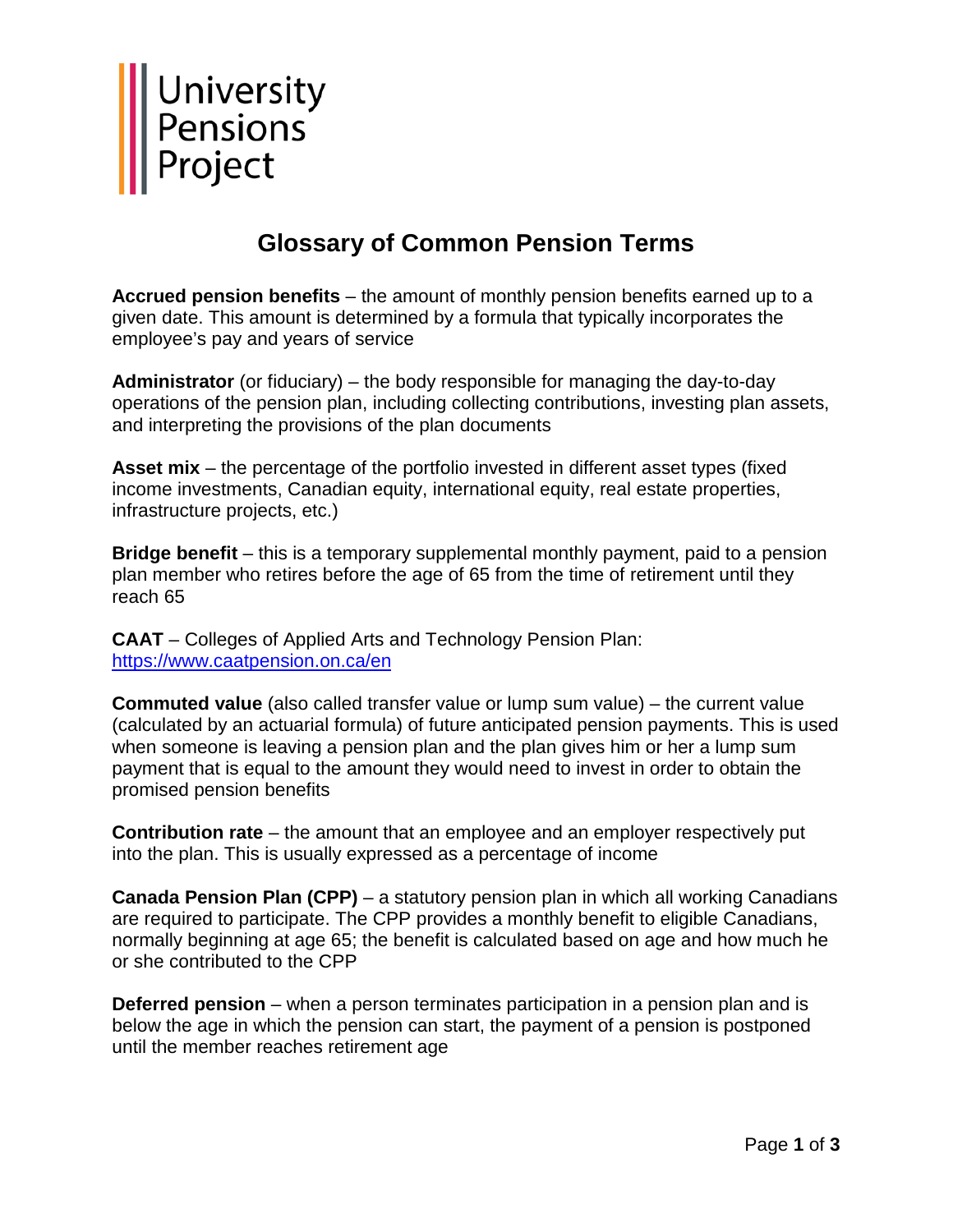

## **Glossary of Common Pension Terms**

**Accrued pension benefits** – the amount of monthly pension benefits earned up to a given date. This amount is determined by a formula that typically incorporates the employee's pay and years of service

**Administrator** (or fiduciary) – the body responsible for managing the day-to-day operations of the pension plan, including collecting contributions, investing plan assets, and interpreting the provisions of the plan documents

**Asset mix** – the percentage of the portfolio invested in different asset types (fixed income investments, Canadian equity, international equity, real estate properties, infrastructure projects, etc.)

**Bridge benefit** – this is a temporary supplemental monthly payment, paid to a pension plan member who retires before the age of 65 from the time of retirement until they reach 65

**CAAT** – Colleges of Applied Arts and Technology Pension Plan: <https://www.caatpension.on.ca/en>

**Commuted value** (also called transfer value or lump sum value) – the current value (calculated by an actuarial formula) of future anticipated pension payments. This is used when someone is leaving a pension plan and the plan gives him or her a lump sum payment that is equal to the amount they would need to invest in order to obtain the promised pension benefits

**Contribution rate** – the amount that an employee and an employer respectively put into the plan. This is usually expressed as a percentage of income

**Canada Pension Plan (CPP)** – a statutory pension plan in which all working Canadians are required to participate. The CPP provides a monthly benefit to eligible Canadians, normally beginning at age 65; the benefit is calculated based on age and how much he or she contributed to the CPP

**Deferred pension** – when a person terminates participation in a pension plan and is below the age in which the pension can start, the payment of a pension is postponed until the member reaches retirement age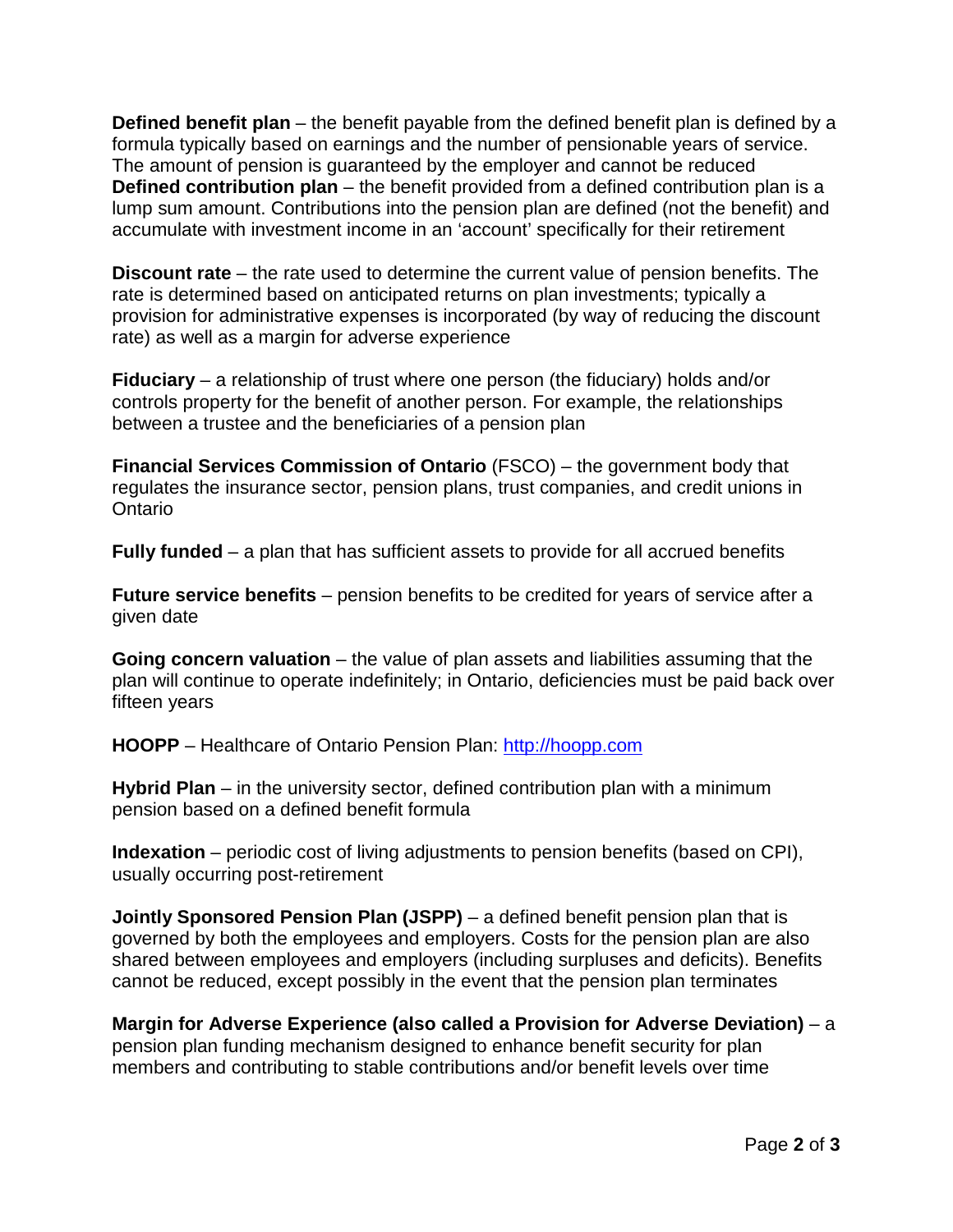**Defined benefit plan** – the benefit payable from the defined benefit plan is defined by a formula typically based on earnings and the number of pensionable years of service. The amount of pension is guaranteed by the employer and cannot be reduced **Defined contribution plan** – the benefit provided from a defined contribution plan is a lump sum amount. Contributions into the pension plan are defined (not the benefit) and accumulate with investment income in an 'account' specifically for their retirement

**Discount rate** – the rate used to determine the current value of pension benefits. The rate is determined based on anticipated returns on plan investments; typically a provision for administrative expenses is incorporated (by way of reducing the discount rate) as well as a margin for adverse experience

**Fiduciary** – a relationship of trust where one person (the fiduciary) holds and/or controls property for the benefit of another person. For example, the relationships between a trustee and the beneficiaries of a pension plan

**Financial Services Commission of Ontario** (FSCO) – the government body that regulates the insurance sector, pension plans, trust companies, and credit unions in **Ontario** 

**Fully funded** – a plan that has sufficient assets to provide for all accrued benefits

**Future service benefits** – pension benefits to be credited for years of service after a given date

**Going concern valuation** – the value of plan assets and liabilities assuming that the plan will continue to operate indefinitely; in Ontario, deficiencies must be paid back over fifteen years

**HOOPP** – Healthcare of Ontario Pension Plan: [http://hoopp.com](http://hoopp.com/)

**Hybrid Plan** – in the university sector, defined contribution plan with a minimum pension based on a defined benefit formula

**Indexation** – periodic cost of living adjustments to pension benefits (based on CPI), usually occurring post-retirement

**Jointly Sponsored Pension Plan (JSPP)** – a defined benefit pension plan that is governed by both the employees and employers. Costs for the pension plan are also shared between employees and employers (including surpluses and deficits). Benefits cannot be reduced, except possibly in the event that the pension plan terminates

**Margin for Adverse Experience (also called a Provision for Adverse Deviation)** – a pension plan funding mechanism designed to enhance benefit security for plan members and contributing to stable contributions and/or benefit levels over time